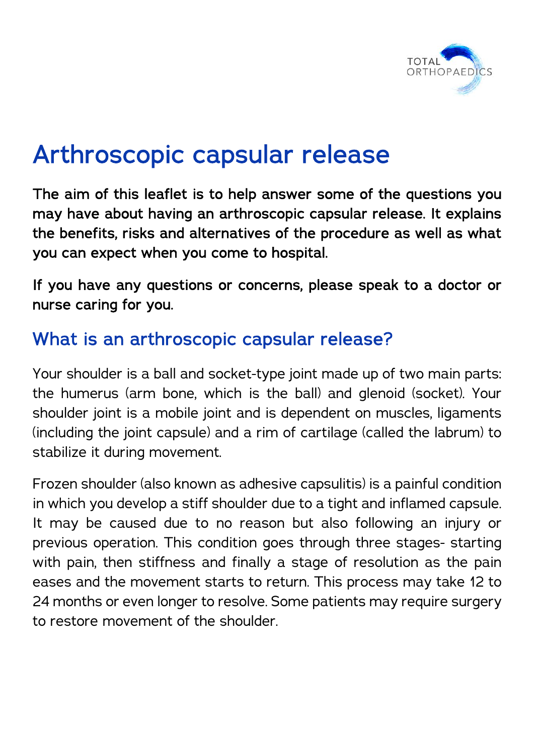

# Arthroscopic capsular release

The aim of this leaflet is to help answer some of the questions you may have about having an arthroscopic capsular release. It explains the benefits, risks and alternatives of the procedure as well as what you can expect when you come to hospital.

If you have any questions or concerns, please speak to a doctor or nurse caring for you.

#### What is an arthroscopic capsular release?

Your shoulder is a ball and socket-type joint made up of two main parts: the humerus (arm bone, which is the ball) and glenoid (socket). Your shoulder joint is a mobile joint and is dependent on muscles, ligaments (including the joint capsule) and a rim of cartilage (called the labrum) to stabilize it during movement.

Frozen shoulder (also known as adhesive capsulitis) is a painful condition in which you develop a stiff shoulder due to a tight and inflamed capsule. It may be caused due to no reason but also following an injury or previous operation. This condition goes through three stages- starting with pain, then stiffness and finally a stage of resolution as the pain eases and the movement starts to return. This process may take 12 to 24 months or even longer to resolve. Some patients may require surgery to restore movement of the shoulder.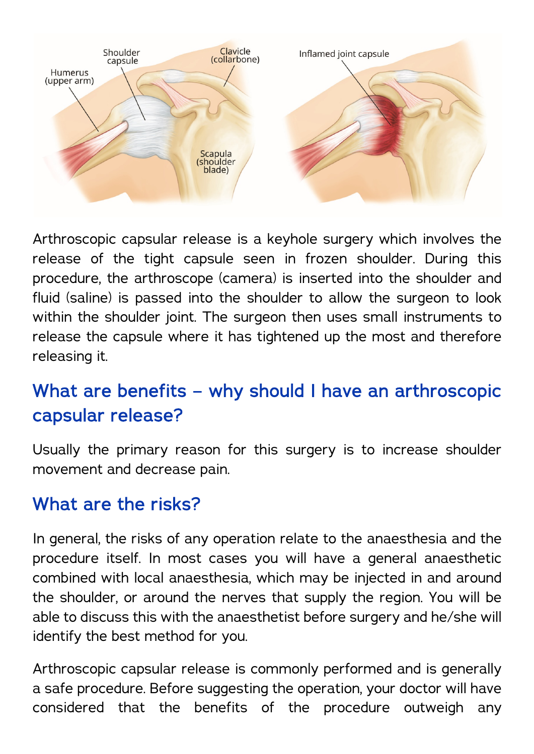

Arthroscopic capsular release is a keyhole surgery which involves the release of the tight capsule seen in frozen shoulder. During this procedure, the arthroscope (camera) is inserted into the shoulder and fluid (saline) is passed into the shoulder to allow the surgeon to look within the shoulder joint. The surgeon then uses small instruments to release the capsule where it has tightened up the most and therefore releasing it.

# What are benefits – why should I have an arthroscopic capsular release?

Usually the primary reason for this surgery is to increase shoulder movement and decrease pain.

#### What are the risks?

In general, the risks of any operation relate to the anaesthesia and the procedure itself. In most cases you will have a general anaesthetic combined with local anaesthesia, which may be injected in and around the shoulder, or around the nerves that supply the region. You will be able to discuss this with the anaesthetist before surgery and he/she will identify the best method for you.

Arthroscopic capsular release is commonly performed and is generally a safe procedure. Before suggesting the operation, your doctor will have considered that the benefits of the procedure outweigh any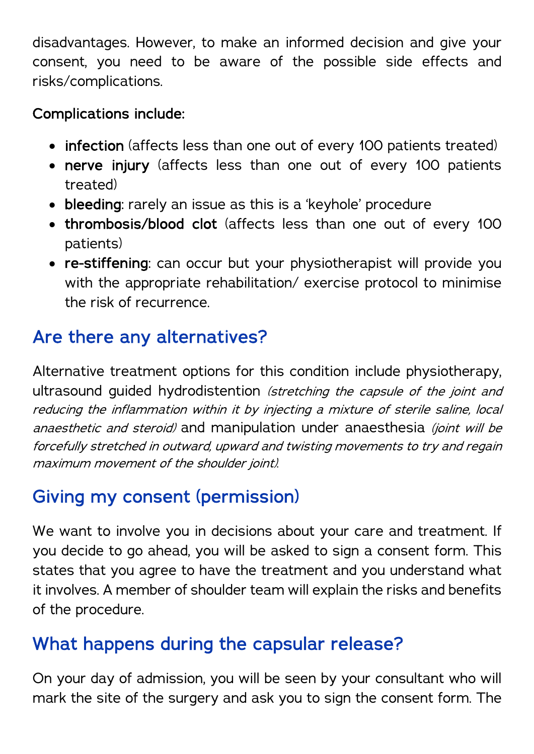disadvantages. However, to make an informed decision and give your consent, you need to be aware of the possible side effects and risks/complications.

#### Complications include:

- infection (affects less than one out of every 100 patients treated)
- nerve injury (affects less than one out of every 100 patients treated)
- bleeding: rarely an issue as this is a 'keyhole' procedure
- thrombosis/blood clot (affects less than one out of every 100 patients)
- re-stiffening: can occur but your physiotherapist will provide you with the appropriate rehabilitation/ exercise protocol to minimise the risk of recurrence.

# Are there any alternatives?

Alternative treatment options for this condition include physiotherapy, ultrasound guided hydrodistention (stretching the capsule of the joint and reducing the inflammation within it by injecting a mixture of sterile saline, local anaesthetic and steroid) and manipulation under anaesthesia (joint will be forcefully stretched in outward, upward and twisting movements to try and regain maximum movement of the shoulder joint).

### Giving my consent (permission)

We want to involve you in decisions about your care and treatment. If you decide to go ahead, you will be asked to sign a consent form. This states that you agree to have the treatment and you understand what it involves. A member of shoulder team will explain the risks and benefits of the procedure.

### What happens during the capsular release?

On your day of admission, you will be seen by your consultant who will mark the site of the surgery and ask you to sign the consent form. The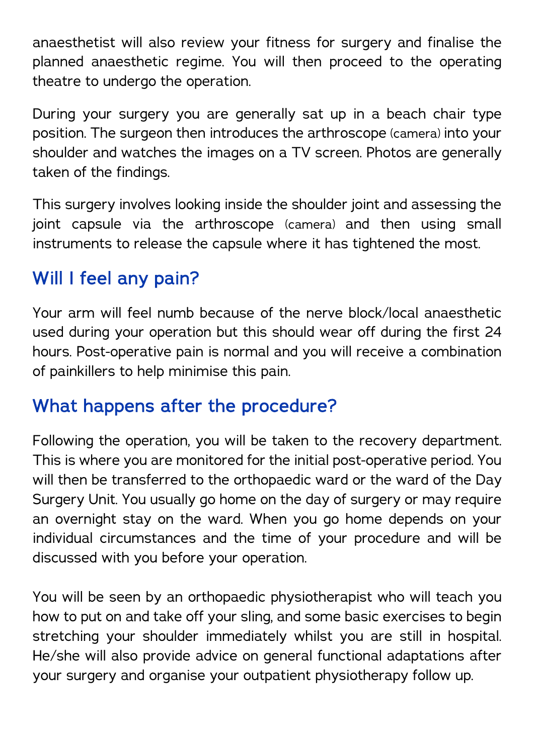anaesthetist will also review your fitness for surgery and finalise the planned anaesthetic regime. You will then proceed to the operating theatre to undergo the operation.

During your surgery you are generally sat up in a beach chair type position. The surgeon then introduces the arthroscope (camera) into your shoulder and watches the images on a TV screen. Photos are generally taken of the findings.

This surgery involves looking inside the shoulder joint and assessing the joint capsule via the arthroscope (camera) and then using small instruments to release the capsule where it has tightened the most.

# Will I feel any pain?

Your arm will feel numb because of the nerve block/local anaesthetic used during your operation but this should wear off during the first 24 hours. Post-operative pain is normal and you will receive a combination of painkillers to help minimise this pain.

### What happens after the procedure?

Following the operation, you will be taken to the recovery department. This is where you are monitored for the initial post-operative period. You will then be transferred to the orthopaedic ward or the ward of the Day Surgery Unit. You usually go home on the day of surgery or may require an overnight stay on the ward. When you go home depends on your individual circumstances and the time of your procedure and will be discussed with you before your operation.

You will be seen by an orthopaedic physiotherapist who will teach you how to put on and take off your sling, and some basic exercises to begin stretching your shoulder immediately whilst you are still in hospital. He/she will also provide advice on general functional adaptations after your surgery and organise your outpatient physiotherapy follow up.